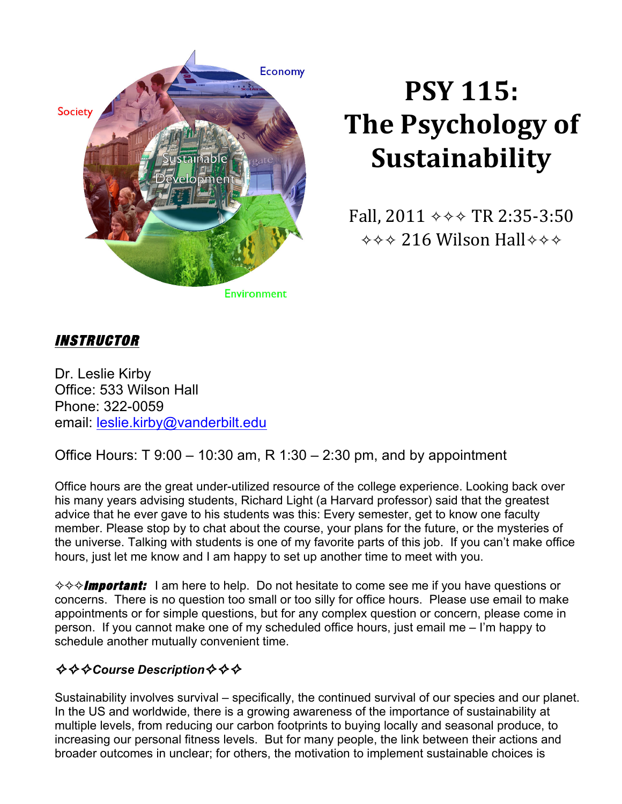

# **PSY 115: The Psychology of Sustainability**

Fall, 2011 **✧✧✧** TR 2:35-3:50 **✧✧✧** 216 Wilson Hall**✧✧✧**

# INSTRUCTOR

Dr. Leslie Kirby Office: 533 Wilson Hall Phone: 322-0059 email: leslie.kirby@vanderbilt.edu

Office Hours: T  $9:00 - 10:30$  am, R  $1:30 - 2:30$  pm, and by appointment

Office hours are the great under-utilized resource of the college experience. Looking back over his many years advising students, Richard Light (a Harvard professor) said that the greatest advice that he ever gave to his students was this: Every semester, get to know one faculty member. Please stop by to chat about the course, your plans for the future, or the mysteries of the universe. Talking with students is one of my favorite parts of this job. If you can't make office hours, just let me know and I am happy to set up another time to meet with you.

**☆☆☆Important:** I am here to help. Do not hesitate to come see me if you have questions or concerns. There is no question too small or too silly for office hours. Please use email to make appointments or for simple questions, but for any complex question or concern, please come in person. If you cannot make one of my scheduled office hours, just email me – I'm happy to schedule another mutually convenient time.

# ✧✧✧*Course Description*✧✧✧

Sustainability involves survival – specifically, the continued survival of our species and our planet. In the US and worldwide, there is a growing awareness of the importance of sustainability at multiple levels, from reducing our carbon footprints to buying locally and seasonal produce, to increasing our personal fitness levels. But for many people, the link between their actions and broader outcomes in unclear; for others, the motivation to implement sustainable choices is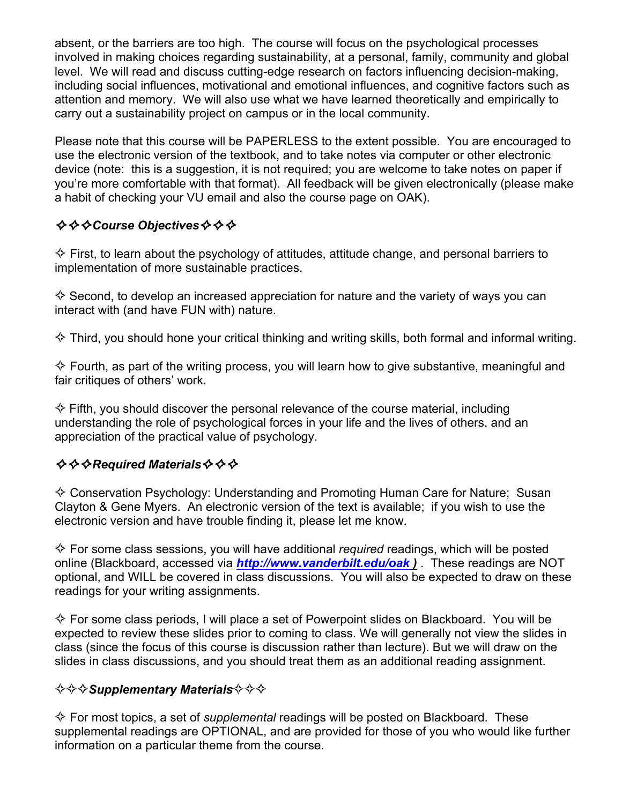absent, or the barriers are too high. The course will focus on the psychological processes involved in making choices regarding sustainability, at a personal, family, community and global level. We will read and discuss cutting-edge research on factors influencing decision-making, including social influences, motivational and emotional influences, and cognitive factors such as attention and memory. We will also use what we have learned theoretically and empirically to carry out a sustainability project on campus or in the local community.

Please note that this course will be PAPERLESS to the extent possible. You are encouraged to use the electronic version of the textbook, and to take notes via computer or other electronic device (note: this is a suggestion, it is not required; you are welcome to take notes on paper if you're more comfortable with that format). All feedback will be given electronically (please make a habit of checking your VU email and also the course page on OAK).

# ✧✧✧*Course Objectives*✧✧✧

 $\diamondsuit$  First, to learn about the psychology of attitudes, attitude change, and personal barriers to implementation of more sustainable practices.

 $\diamondsuit$  Second, to develop an increased appreciation for nature and the variety of ways you can interact with (and have FUN with) nature.

 $\diamond$  Third, you should hone your critical thinking and writing skills, both formal and informal writing.

 $\diamondsuit$  Fourth, as part of the writing process, you will learn how to give substantive, meaningful and fair critiques of others' work.

 $\diamondsuit$  Fifth, you should discover the personal relevance of the course material, including understanding the role of psychological forces in your life and the lives of others, and an appreciation of the practical value of psychology.

## ✧✧✧*Required Materials*✧✧✧

 $\diamondsuit$  Conservation Psychology: Understanding and Promoting Human Care for Nature: Susan Clayton & Gene Myers. An electronic version of the text is available; if you wish to use the electronic version and have trouble finding it, please let me know.

✧ For some class sessions, you will have additional *required* readings, which will be posted online (Blackboard, accessed via *http://www.vanderbilt.edu/oak )* . These readings are NOT optional, and WILL be covered in class discussions. You will also be expected to draw on these readings for your writing assignments.

 $\diamond$  For some class periods, I will place a set of Powerpoint slides on Blackboard. You will be expected to review these slides prior to coming to class. We will generally not view the slides in class (since the focus of this course is discussion rather than lecture). But we will draw on the slides in class discussions, and you should treat them as an additional reading assignment.

## ✧✧✧*Supplementary Materials*✧✧✧

✧ For most topics, a set of *supplemental* readings will be posted on Blackboard. These supplemental readings are OPTIONAL, and are provided for those of you who would like further information on a particular theme from the course.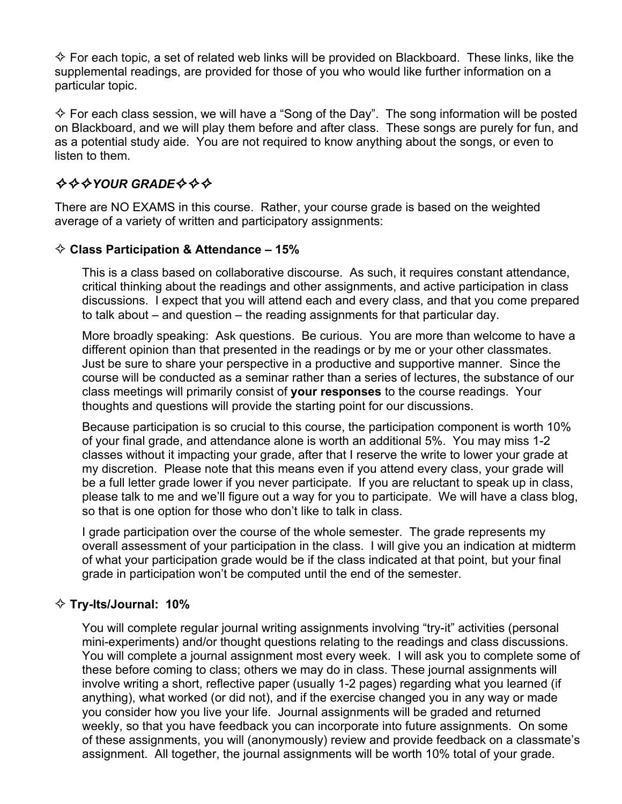$\diamond$  For each topic, a set of related web links will be provided on Blackboard. These links, like the supplemental readings, are provided for those of you who would like further information on a particular topic.

 $\diamond$  For each class session, we will have a "Song of the Day". The song information will be posted on Blackboard, and we will play them before and after class. These songs are purely for fun, and as a potential study aide. You are not required to know anything about the songs, or even to listen to them.

# ✧✧✧*YOUR GRADE*✧✧✧

There are NO EXAMS in this course. Rather, your course grade is based on the weighted average of a variety of written and participatory assignments:

### ✧ **Class Participation & Attendance – 15%**

This is a class based on collaborative discourse. As such, it requires constant attendance, critical thinking about the readings and other assignments, and active participation in class discussions. I expect that you will attend each and every class, and that you come prepared to talk about – and question – the reading assignments for that particular day.

More broadly speaking: Ask questions. Be curious. You are more than welcome to have a different opinion than that presented in the readings or by me or your other classmates. Just be sure to share your perspective in a productive and supportive manner. Since the course will be conducted as a seminar rather than a series of lectures, the substance of our class meetings will primarily consist of **your responses** to the course readings. Your thoughts and questions will provide the starting point for our discussions.

Because participation is so crucial to this course, the participation component is worth 10% of your final grade, and attendance alone is worth an additional 5%. You may miss 1-2 classes without it impacting your grade, after that I reserve the write to lower your grade at my discretion. Please note that this means even if you attend every class, your grade will be a full letter grade lower if you never participate. If you are reluctant to speak up in class, please talk to me and we'll figure out a way for you to participate. We will have a class blog, so that is one option for those who don't like to talk in class.

I grade participation over the course of the whole semester. The grade represents my overall assessment of your participation in the class. I will give you an indication at midterm of what your participation grade would be if the class indicated at that point, but your final grade in participation won't be computed until the end of the semester.

### ✧ **Try-Its/Journal: 10%**

You will complete regular journal writing assignments involving "try-it" activities (personal mini-experiments) and/or thought questions relating to the readings and class discussions. You will complete a journal assignment most every week. I will ask you to complete some of these before coming to class; others we may do in class. These journal assignments will involve writing a short, reflective paper (usually 1-2 pages) regarding what you learned (if anything), what worked (or did not), and if the exercise changed you in any way or made you consider how you live your life. Journal assignments will be graded and returned weekly, so that you have feedback you can incorporate into future assignments. On some of these assignments, you will (anonymously) review and provide feedback on a classmate's assignment. All together, the journal assignments will be worth 10% total of your grade.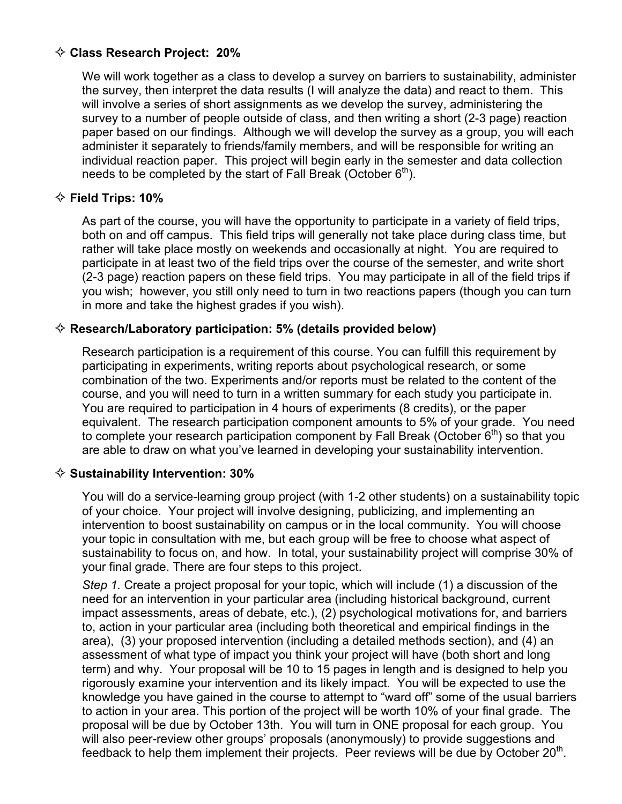### ✧ **Class Research Project: 20%**

We will work together as a class to develop a survey on barriers to sustainability, administer the survey, then interpret the data results (I will analyze the data) and react to them. This will involve a series of short assignments as we develop the survey, administering the survey to a number of people outside of class, and then writing a short (2-3 page) reaction paper based on our findings. Although we will develop the survey as a group, you will each administer it separately to friends/family members, and will be responsible for writing an individual reaction paper. This project will begin early in the semester and data collection needs to be completed by the start of Fall Break (October  $6<sup>th</sup>$ ).

#### ✧ **Field Trips: 10%**

As part of the course, you will have the opportunity to participate in a variety of field trips, both on and off campus. This field trips will generally not take place during class time, but rather will take place mostly on weekends and occasionally at night. You are required to participate in at least two of the field trips over the course of the semester, and write short (2-3 page) reaction papers on these field trips. You may participate in all of the field trips if you wish; however, you still only need to turn in two reactions papers (though you can turn in more and take the highest grades if you wish).

#### ✧ **Research/Laboratory participation: 5% (details provided below)**

Research participation is a requirement of this course. You can fulfill this requirement by participating in experiments, writing reports about psychological research, or some combination of the two. Experiments and/or reports must be related to the content of the course, and you will need to turn in a written summary for each study you participate in. You are required to participation in 4 hours of experiments (8 credits), or the paper equivalent. The research participation component amounts to 5% of your grade. You need to complete your research participation component by Fall Break (October  $6<sup>th</sup>$ ) so that you are able to draw on what you've learned in developing your sustainability intervention.

#### ✧ **Sustainability Intervention: 30%**

You will do a service-learning group project (with 1-2 other students) on a sustainability topic of your choice. Your project will involve designing, publicizing, and implementing an intervention to boost sustainability on campus or in the local community. You will choose your topic in consultation with me, but each group will be free to choose what aspect of sustainability to focus on, and how. In total, your sustainability project will comprise 30% of your final grade. There are four steps to this project.

*Step 1.* Create a project proposal for your topic, which will include (1) a discussion of the need for an intervention in your particular area (including historical background, current impact assessments, areas of debate, etc.), (2) psychological motivations for, and barriers to, action in your particular area (including both theoretical and empirical findings in the area), (3) your proposed intervention (including a detailed methods section), and (4) an assessment of what type of impact you think your project will have (both short and long term) and why. Your proposal will be 10 to 15 pages in length and is designed to help you rigorously examine your intervention and its likely impact. You will be expected to use the knowledge you have gained in the course to attempt to "ward off" some of the usual barriers to action in your area. This portion of the project will be worth 10% of your final grade. The proposal will be due by October 13th. You will turn in ONE proposal for each group. You will also peer-review other groups' proposals (anonymously) to provide suggestions and feedback to help them implement their projects. Peer reviews will be due by October 20<sup>th</sup>.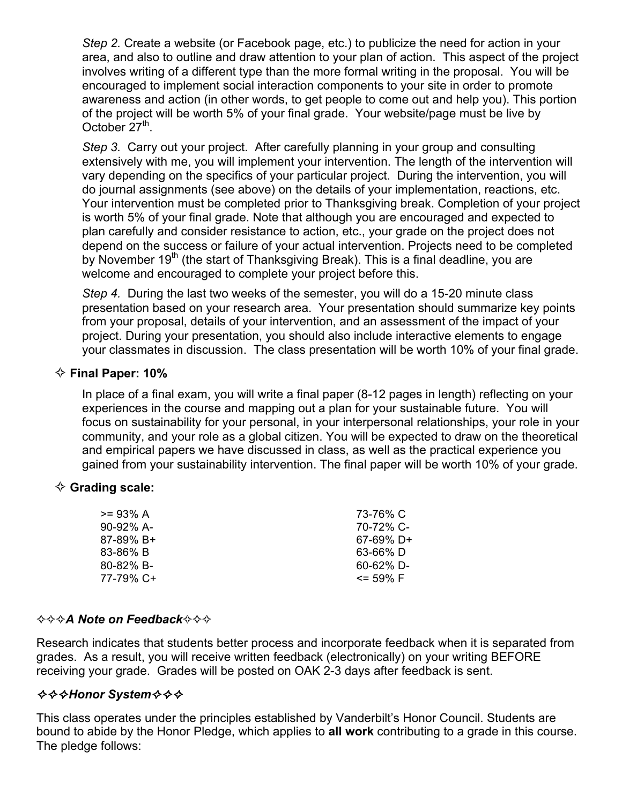*Step 2.* Create a website (or Facebook page, etc.) to publicize the need for action in your area, and also to outline and draw attention to your plan of action. This aspect of the project involves writing of a different type than the more formal writing in the proposal. You will be encouraged to implement social interaction components to your site in order to promote awareness and action (in other words, to get people to come out and help you). This portion of the project will be worth 5% of your final grade. Your website/page must be live by October  $27<sup>th</sup>$ .

*Step 3.* Carry out your project. After carefully planning in your group and consulting extensively with me, you will implement your intervention. The length of the intervention will vary depending on the specifics of your particular project. During the intervention, you will do journal assignments (see above) on the details of your implementation, reactions, etc. Your intervention must be completed prior to Thanksgiving break. Completion of your project is worth 5% of your final grade. Note that although you are encouraged and expected to plan carefully and consider resistance to action, etc., your grade on the project does not depend on the success or failure of your actual intervention. Projects need to be completed by November 19<sup>th</sup> (the start of Thanksgiving Break). This is a final deadline, you are welcome and encouraged to complete your project before this.

*Step 4.* During the last two weeks of the semester, you will do a 15-20 minute class presentation based on your research area. Your presentation should summarize key points from your proposal, details of your intervention, and an assessment of the impact of your project. During your presentation, you should also include interactive elements to engage your classmates in discussion. The class presentation will be worth 10% of your final grade.

#### ✧ **Final Paper: 10%**

In place of a final exam, you will write a final paper (8-12 pages in length) reflecting on your experiences in the course and mapping out a plan for your sustainable future. You will focus on sustainability for your personal, in your interpersonal relationships, your role in your community, and your role as a global citizen. You will be expected to draw on the theoretical and empirical papers we have discussed in class, as well as the practical experience you gained from your sustainability intervention. The final paper will be worth 10% of your grade.

#### ✧ **Grading scale:**

| >= 93% A             | 73-76% C       |
|----------------------|----------------|
| $90 - 92\%$ A-       | 70-72% C-      |
| $87-89\% \text{ B+}$ | $67-69\%$ D+   |
| 83-86% B             | 63-66% D       |
| 80-82% B-            | $60 - 62\%$ D- |
| 77-79% C+            | $\le$ 59% F    |
|                      |                |

#### ✧✧✧*A Note on Feedback*✧✧✧

Research indicates that students better process and incorporate feedback when it is separated from grades. As a result, you will receive written feedback (electronically) on your writing BEFORE receiving your grade. Grades will be posted on OAK 2-3 days after feedback is sent.

### ✧✧✧*Honor System*✧✧✧

This class operates under the principles established by Vanderbilt's Honor Council. Students are bound to abide by the Honor Pledge, which applies to **all work** contributing to a grade in this course. The pledge follows: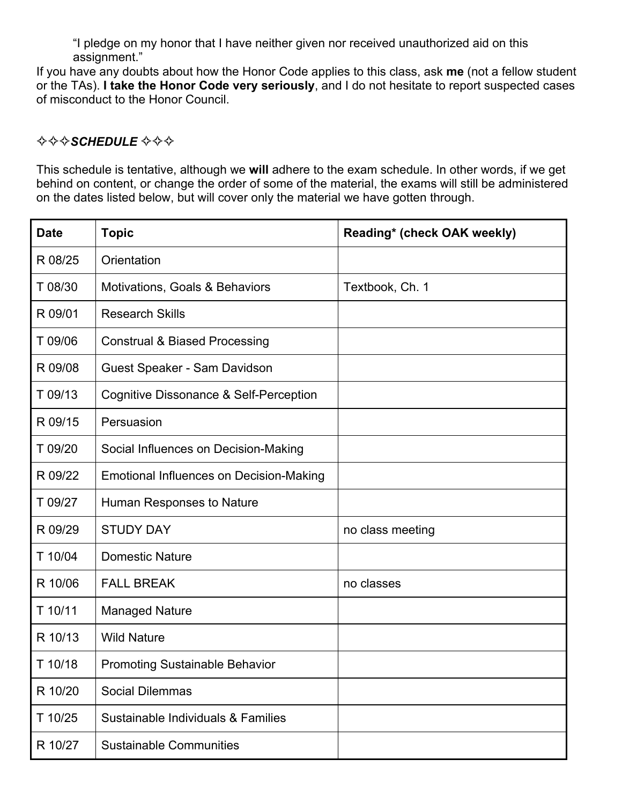"I pledge on my honor that I have neither given nor received unauthorized aid on this assignment."

If you have any doubts about how the Honor Code applies to this class, ask **me** (not a fellow student or the TAs). **I take the Honor Code very seriously**, and I do not hesitate to report suspected cases of misconduct to the Honor Council.

### ✧✧✧*SCHEDULE* ✧✧✧

This schedule is tentative, although we **will** adhere to the exam schedule. In other words, if we get behind on content, or change the order of some of the material, the exams will still be administered on the dates listed below, but will cover only the material we have gotten through.

| <b>Date</b> | <b>Topic</b>                                   | Reading* (check OAK weekly) |
|-------------|------------------------------------------------|-----------------------------|
| R 08/25     | Orientation                                    |                             |
| T 08/30     | Motivations, Goals & Behaviors                 | Textbook, Ch. 1             |
| R 09/01     | <b>Research Skills</b>                         |                             |
| T 09/06     | <b>Construal &amp; Biased Processing</b>       |                             |
| R 09/08     | Guest Speaker - Sam Davidson                   |                             |
| T 09/13     | Cognitive Dissonance & Self-Perception         |                             |
| R 09/15     | Persuasion                                     |                             |
| T 09/20     | Social Influences on Decision-Making           |                             |
| R 09/22     | <b>Emotional Influences on Decision-Making</b> |                             |
| T 09/27     | Human Responses to Nature                      |                             |
| R 09/29     | <b>STUDY DAY</b>                               | no class meeting            |
| T 10/04     | <b>Domestic Nature</b>                         |                             |
| R 10/06     | <b>FALL BREAK</b>                              | no classes                  |
| T 10/11     | <b>Managed Nature</b>                          |                             |
| R 10/13     | <b>Wild Nature</b>                             |                             |
| T 10/18     | <b>Promoting Sustainable Behavior</b>          |                             |
| R 10/20     | <b>Social Dilemmas</b>                         |                             |
| T 10/25     | Sustainable Individuals & Families             |                             |
| R 10/27     | <b>Sustainable Communities</b>                 |                             |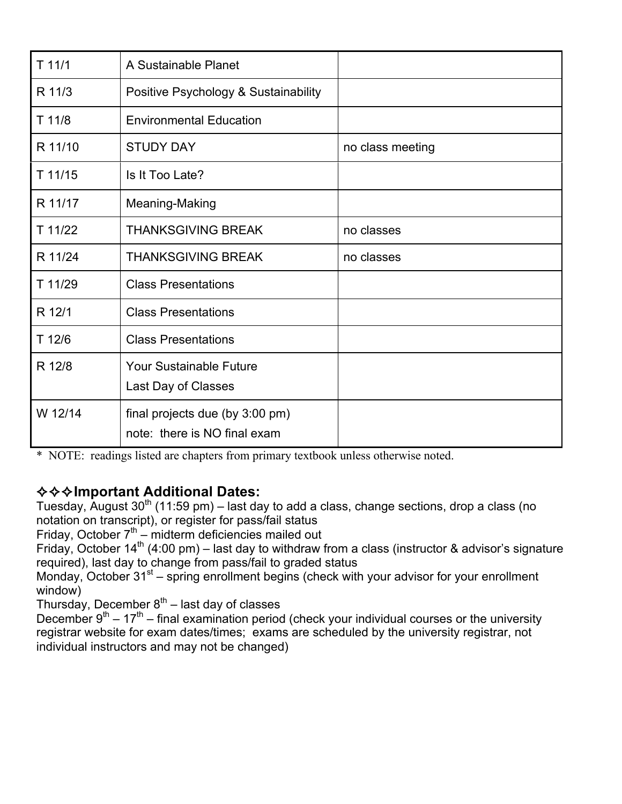| $T$ 11/1  | A Sustainable Planet                                            |                  |
|-----------|-----------------------------------------------------------------|------------------|
| R 11/3    | Positive Psychology & Sustainability                            |                  |
| $T$ 11/8  | <b>Environmental Education</b>                                  |                  |
| R 11/10   | <b>STUDY DAY</b>                                                | no class meeting |
| $T$ 11/15 | Is It Too Late?                                                 |                  |
| R 11/17   | Meaning-Making                                                  |                  |
| T 11/22   | <b>THANKSGIVING BREAK</b>                                       | no classes       |
| R 11/24   | <b>THANKSGIVING BREAK</b>                                       | no classes       |
| T 11/29   | <b>Class Presentations</b>                                      |                  |
| R 12/1    | <b>Class Presentations</b>                                      |                  |
| T 12/6    | <b>Class Presentations</b>                                      |                  |
| R 12/8    | <b>Your Sustainable Future</b>                                  |                  |
|           | Last Day of Classes                                             |                  |
| W 12/14   | final projects due (by 3:00 pm)<br>note: there is NO final exam |                  |
|           |                                                                 |                  |

\* NOTE: readings listed are chapters from primary textbook unless otherwise noted.

# ✧✧✧**Important Additional Dates:**

Tuesday, August  $30<sup>th</sup>$  (11:59 pm) – last day to add a class, change sections, drop a class (no notation on transcript), or register for pass/fail status

Friday, October  $7<sup>th</sup>$  – midterm deficiencies mailed out

Friday, October 14<sup>th</sup> (4:00 pm) – last day to withdraw from a class (instructor & advisor's signature required), last day to change from pass/fail to graded status

Monday, October  $31^{st}$  – spring enrollment begins (check with your advisor for your enrollment window)

Thursday, December  $8<sup>th</sup>$  – last day of classes

December  $9^{th} - 17^{th}$  – final examination period (check your individual courses or the university registrar website for exam dates/times; exams are scheduled by the university registrar, not individual instructors and may not be changed)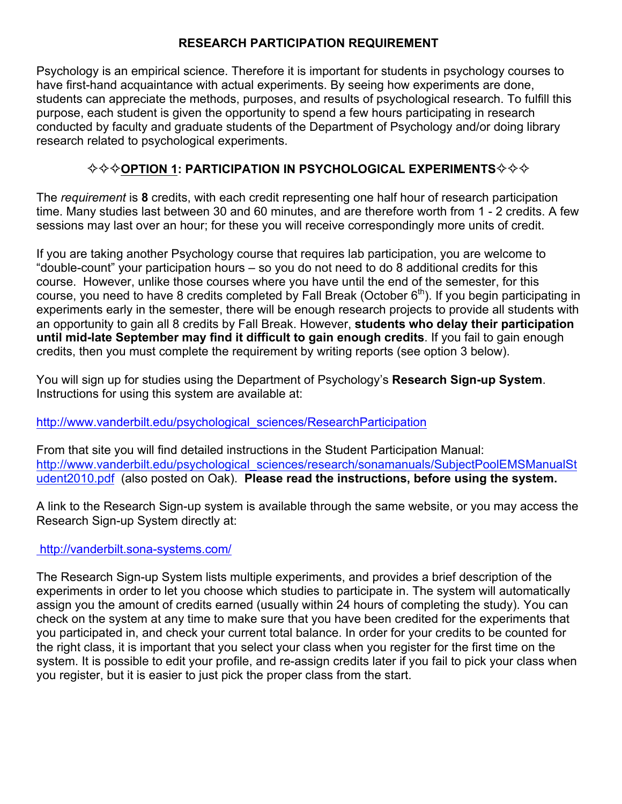## **RESEARCH PARTICIPATION REQUIREMENT**

Psychology is an empirical science. Therefore it is important for students in psychology courses to have first-hand acquaintance with actual experiments. By seeing how experiments are done, students can appreciate the methods, purposes, and results of psychological research. To fulfill this purpose, each student is given the opportunity to spend a few hours participating in research conducted by faculty and graduate students of the Department of Psychology and/or doing library research related to psychological experiments.

## ✧✧✧**OPTION 1: PARTICIPATION IN PSYCHOLOGICAL EXPERIMENTS**✧✧✧

The *requirement* is **8** credits, with each credit representing one half hour of research participation time. Many studies last between 30 and 60 minutes, and are therefore worth from 1 - 2 credits. A few sessions may last over an hour; for these you will receive correspondingly more units of credit.

If you are taking another Psychology course that requires lab participation, you are welcome to "double-count" your participation hours – so you do not need to do 8 additional credits for this course. However, unlike those courses where you have until the end of the semester, for this course, you need to have 8 credits completed by Fall Break (October  $6<sup>th</sup>$ ). If you begin participating in experiments early in the semester, there will be enough research projects to provide all students with an opportunity to gain all 8 credits by Fall Break. However, **students who delay their participation until mid-late September may find it difficult to gain enough credits**. If you fail to gain enough credits, then you must complete the requirement by writing reports (see option 3 below).

You will sign up for studies using the Department of Psychology's **Research Sign-up System**. Instructions for using this system are available at:

### http://www.vanderbilt.edu/psychological\_sciences/ResearchParticipation

From that site you will find detailed instructions in the Student Participation Manual: http://www.vanderbilt.edu/psychological\_sciences/research/sonamanuals/SubjectPoolEMSManualSt udent2010.pdf (also posted on Oak). **Please read the instructions, before using the system.** 

A link to the Research Sign-up system is available through the same website, or you may access the Research Sign-up System directly at:

### http://vanderbilt.sona-systems.com/

The Research Sign-up System lists multiple experiments, and provides a brief description of the experiments in order to let you choose which studies to participate in. The system will automatically assign you the amount of credits earned (usually within 24 hours of completing the study). You can check on the system at any time to make sure that you have been credited for the experiments that you participated in, and check your current total balance. In order for your credits to be counted for the right class, it is important that you select your class when you register for the first time on the system. It is possible to edit your profile, and re-assign credits later if you fail to pick your class when you register, but it is easier to just pick the proper class from the start.